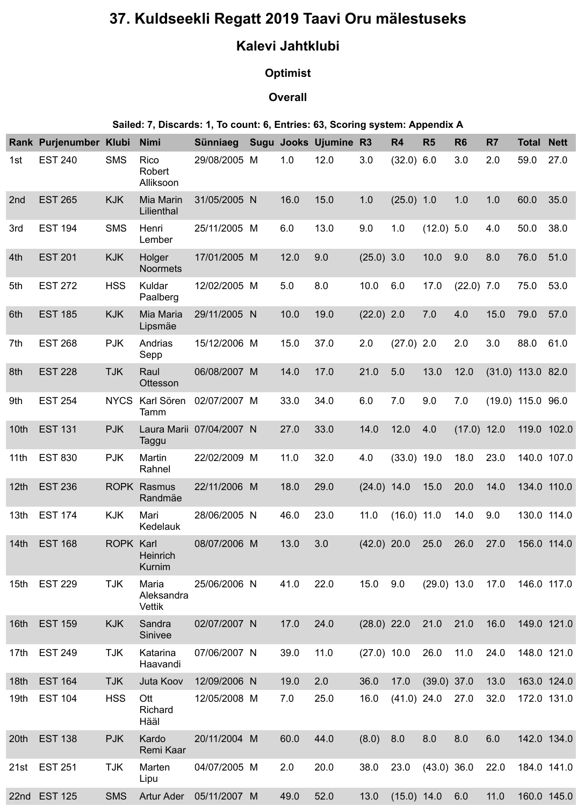# **37. Kuldseekli Regatt 2019 Taavi Oru mälestuseks**

## **Kalevi Jahtklubi**

### **Optimist**

#### **Overall**

#### **Sailed: 7, Discards: 1, To count: 6, Entries: 63, Scoring system: Appendix A**

|                  | Rank Purjenumber Klubi |                  | <b>Nimi</b>                          | Sünniaeg     |   |      | <b>Sugu Jooks Ujumine</b> | <b>R3</b>     | R <sub>4</sub> | <b>R5</b>     | R <sub>6</sub> | R <sub>7</sub> | <b>Total</b>        | <b>Nett</b> |
|------------------|------------------------|------------------|--------------------------------------|--------------|---|------|---------------------------|---------------|----------------|---------------|----------------|----------------|---------------------|-------------|
| 1st              | <b>EST 240</b>         | <b>SMS</b>       | Rico<br>Robert<br>Alliksoon          | 29/08/2005 M |   | 1.0  | 12.0                      | 3.0           | $(32.0)$ 6.0   |               | 3.0            | 2.0            | 59.0                | 27.0        |
| 2nd              | <b>EST 265</b>         | <b>KJK</b>       | <b>Mia Marin</b><br>Lilienthal       | 31/05/2005 N |   | 16.0 | 15.0                      | 1.0           | $(25.0)$ 1.0   |               | 1.0            | 1.0            | 60.0                | 35.0        |
| 3rd              | <b>EST 194</b>         | <b>SMS</b>       | Henri<br>Lember                      | 25/11/2005 M |   | 6.0  | 13.0                      | 9.0           | 1.0            | $(12.0)$ 5.0  |                | 4.0            | 50.0                | 38.0        |
| 4th              | <b>EST 201</b>         | <b>KJK</b>       | Holger<br><b>Noormets</b>            | 17/01/2005 M |   | 12.0 | 9.0                       | $(25.0)$ 3.0  |                | 10.0          | 9.0            | 8.0            | 76.0                | 51.0        |
| 5th              | <b>EST 272</b>         | <b>HSS</b>       | Kuldar<br>Paalberg                   | 12/02/2005 M |   | 5.0  | 8.0                       | 10.0          | 6.0            | 17.0          | $(22.0)$ 7.0   |                | 75.0                | 53.0        |
| 6th              | <b>EST 185</b>         | <b>KJK</b>       | Mia Maria<br>Lipsmäe                 | 29/11/2005 N |   | 10.0 | 19.0                      | $(22.0)$ 2.0  |                | 7.0           | 4.0            | 15.0           | 79.0                | 57.0        |
| 7th              | <b>EST 268</b>         | <b>PJK</b>       | Andrias<br>Sepp                      | 15/12/2006 M |   | 15.0 | 37.0                      | 2.0           | $(27.0)$ 2.0   |               | 2.0            | 3.0            | 88.0                | 61.0        |
| 8th              | <b>EST 228</b>         | <b>TJK</b>       | Raul<br><b>Ottesson</b>              | 06/08/2007 M |   | 14.0 | 17.0                      | 21.0          | 5.0            | 13.0          | 12.0           |                | $(31.0)$ 113.0 82.0 |             |
| 9th              | <b>EST 254</b>         | <b>NYCS</b>      | Karl Sören<br>Tamm                   | 02/07/2007 M |   | 33.0 | 34.0                      | 6.0           | 7.0            | 9.0           | 7.0            |                | $(19.0)$ 115.0 96.0 |             |
| 10th             | <b>EST 131</b>         | <b>PJK</b>       | Laura Marii<br>Taggu                 | 07/04/2007 N |   | 27.0 | 33.0                      | 14.0          | 12.0           | 4.0           | (17.0)         | 12.0           |                     | 119.0 102.0 |
| 11 <sub>th</sub> | <b>EST 830</b>         | <b>PJK</b>       | Martin<br>Rahnel                     | 22/02/2009   | M | 11.0 | 32.0                      | 4.0           | $(33.0)$ 19.0  |               | 18.0           | 23.0           |                     | 140.0 107.0 |
| 12 <sub>th</sub> | <b>EST 236</b>         |                  | <b>ROPK Rasmus</b><br>Randmäe        | 22/11/2006 M |   | 18.0 | 29.0                      | $(24.0)$ 14.0 |                | 15.0          | 20.0           | 14.0           |                     | 134.0 110.0 |
| 13 <sub>th</sub> | <b>EST 174</b>         | <b>KJK</b>       | Mari<br><b>Kedelauk</b>              | 28/06/2005 N |   | 46.0 | 23.0                      | 11.0          | $(16.0)$ 11.0  |               | 14.0           | 9.0            |                     | 130.0 114.0 |
| 14 <sub>th</sub> | <b>EST 168</b>         | <b>ROPK Karl</b> | <b>Heinrich</b><br>Kurnim            | 08/07/2006 M |   | 13.0 | 3.0                       | $(42.0)$ 20.0 |                | 25.0          | 26.0           | 27.0           |                     | 156.0 114.0 |
| 15 <sub>th</sub> | <b>EST 229</b>         | <b>TJK</b>       | Maria<br>Aleksandra<br><b>Vettik</b> | 25/06/2006 N |   | 41.0 | 22.0                      | 15.0          | 9.0            | $(29.0)$ 13.0 |                | 17.0           |                     | 146.0 117.0 |
| 16th             | <b>EST 159</b>         | <b>KJK</b>       | Sandra<br><b>Sinivee</b>             | 02/07/2007 N |   | 17.0 | 24.0                      | $(28.0)$ 22.0 |                | 21.0          | 21.0           | 16.0           |                     | 149.0 121.0 |
| 17 <sub>th</sub> | <b>EST 249</b>         | <b>TJK</b>       | Katarina<br>Haavandi                 | 07/06/2007 N |   | 39.0 | 11.0                      | $(27.0)$ 10.0 |                | 26.0          | 11.0           | 24.0           |                     | 148.0 121.0 |
| 18th             | <b>EST 164</b>         | <b>TJK</b>       | Juta Koov                            | 12/09/2006 N |   | 19.0 | 2.0                       | 36.0          | 17.0           | $(39.0)$ 37.0 |                | 13.0           |                     | 163.0 124.0 |
| 19th             | <b>EST 104</b>         | <b>HSS</b>       | Ott<br><b>Richard</b><br>Hääl        | 12/05/2008 M |   | 7.0  | 25.0                      | 16.0          | $(41.0)$ 24.0  |               | 27.0           | 32.0           |                     | 172.0 131.0 |
| 20th             | <b>EST 138</b>         | <b>PJK</b>       | Kardo<br>Remi Kaar                   | 20/11/2004 M |   | 60.0 | 44.0                      | (8.0)         | 8.0            | 8.0           | 8.0            | 6.0            |                     | 142.0 134.0 |
| 21st             | <b>EST 251</b>         | <b>TJK</b>       | Marten<br>Lipu                       | 04/07/2005 M |   | 2.0  | 20.0                      | 38.0          | 23.0           | $(43.0)$ 36.0 |                | 22.0           |                     | 184.0 141.0 |
| 22nd             | <b>EST 125</b>         | <b>SMS</b>       | <b>Artur Ader</b>                    | 05/11/2007 M |   | 49.0 | 52.0                      | 13.0          | $(15.0)$ 14.0  |               | 6.0            | 11.0           |                     | 160.0 145.0 |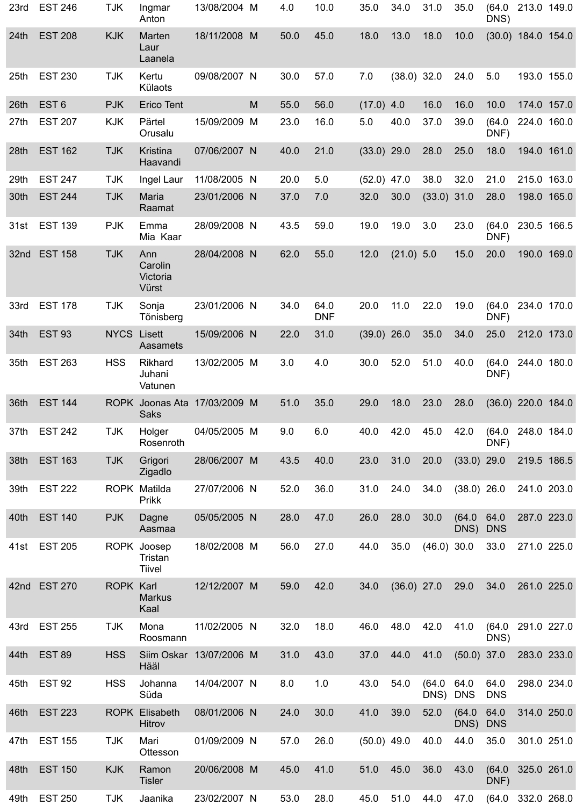| 23rd             | <b>EST 246</b>   | <b>TJK</b>         | Ingmar<br>Anton                     | 13/08/2004 M |              | 4.0  | 10.0               | 35.0          | 34.0          | 31.0          | 35.0               | (64.0<br>DNS)      |                      | 213.0 149.0 |
|------------------|------------------|--------------------|-------------------------------------|--------------|--------------|------|--------------------|---------------|---------------|---------------|--------------------|--------------------|----------------------|-------------|
| 24th             | <b>EST 208</b>   | <b>KJK</b>         | Marten<br>Laur<br>Laanela           | 18/11/2008 M |              | 50.0 | 45.0               | 18.0          | 13.0          | 18.0          | 10.0               |                    | $(30.0)$ 184.0       | 154.0       |
| 25 <sub>th</sub> | <b>EST 230</b>   | <b>TJK</b>         | Kertu<br><b>Külaots</b>             | 09/08/2007 N |              | 30.0 | 57.0               | 7.0           | $(38.0)$ 32.0 |               | 24.0               | 5.0                |                      | 193.0 155.0 |
| 26th             | EST <sub>6</sub> | <b>PJK</b>         | <b>Erico Tent</b>                   |              | M            | 55.0 | 56.0               | $(17.0)$ 4.0  |               | 16.0          | 16.0               | 10.0               | 174.0                | 157.0       |
| 27th             | <b>EST 207</b>   | <b>KJK</b>         | Pärtel<br>Orusalu                   | 15/09/2009   | M            | 23.0 | 16.0               | 5.0           | 40.0          | 37.0          | 39.0               | (64.0)<br>DNF)     | 224.0                | 160.0       |
| 28th             | <b>EST 162</b>   | <b>TJK</b>         | <b>Kristina</b><br>Haavandi         | 07/06/2007 N |              | 40.0 | 21.0               | $(33.0)$ 29.0 |               | 28.0          | 25.0               | 18.0               | 194.0                | 161.0       |
| 29th             | <b>EST 247</b>   | <b>TJK</b>         | Ingel Laur                          | 11/08/2005   | $\mathsf{N}$ | 20.0 | 5.0                | (52.0)        | 47.0          | 38.0          | 32.0               | 21.0               | 215.0                | 163.0       |
| 30th             | <b>EST 244</b>   | <b>TJK</b>         | <b>Maria</b><br>Raamat              | 23/01/2006 N |              | 37.0 | 7.0                | 32.0          | 30.0          | $(33.0)$ 31.0 |                    | 28.0               | 198.0                | 165.0       |
| 31st             | <b>EST 139</b>   | <b>PJK</b>         | Emma<br>Mia Kaar                    | 28/09/2008 N |              | 43.5 | 59.0               | 19.0          | 19.0          | 3.0           | 23.0               | (64.0)<br>DNF)     |                      | 230.5 166.5 |
| 32nd             | <b>EST 158</b>   | <b>TJK</b>         | Ann<br>Carolin<br>Victoria<br>Vürst | 28/04/2008 N |              | 62.0 | 55.0               | 12.0          | $(21.0)$ 5.0  |               | 15.0               | 20.0               | 190.0                | 169.0       |
| 33rd             | <b>EST 178</b>   | <b>TJK</b>         | Sonja<br>Tõnisberg                  | 23/01/2006 N |              | 34.0 | 64.0<br><b>DNF</b> | 20.0          | 11.0          | 22.0          | 19.0               | (64.0)<br>DNF)     | 234.0                | 170.0       |
| 34th             | <b>EST 93</b>    | <b>NYCS Lisett</b> | <b>Aasamets</b>                     | 15/09/2006 N |              | 22.0 | 31.0               | $(39.0)$ 26.0 |               | 35.0          | 34.0               | 25.0               |                      | 212.0 173.0 |
| 35th             | <b>EST 263</b>   | <b>HSS</b>         | <b>Rikhard</b><br>Juhani<br>Vatunen | 13/02/2005 M |              | 3.0  | 4.0                | 30.0          | 52.0          | 51.0          | 40.0               | (64.0)<br>DNF)     | 244.0                | 180.0       |
| 36th             | <b>EST 144</b>   | <b>ROPK</b>        | Joonas Ata<br><b>Saks</b>           | 17/03/2009 M |              | 51.0 | 35.0               | 29.0          | 18.0          | 23.0          | 28.0               |                    | $(36.0)$ 220.0 184.0 |             |
| 37th             | <b>EST 242</b>   | <b>TJK</b>         | Holger<br>Rosenroth                 | 04/05/2005 M |              | 9.0  | 6.0                | 40.0          | 42.0          | 45.0          | 42.0               | (64.0)<br>DNF)     | 248.0                | 184.0       |
| 38th             | <b>EST 163</b>   | <b>TJK</b>         | Grigori<br>Zigadlo                  | 28/06/2007 M |              | 43.5 | 40.0               | 23.0          | 31.0          | 20.0          | $(33.0)$ 29.0      |                    |                      | 219.5 186.5 |
| 39th             | <b>EST 222</b>   | <b>ROPK</b>        | Matilda<br><b>Prikk</b>             | 27/07/2006 N |              | 52.0 | 36.0               | 31.0          | 24.0          | 34.0          | $(38.0)$ 26.0      |                    |                      | 241.0 203.0 |
| 40th             | <b>EST 140</b>   | <b>PJK</b>         | Dagne<br>Aasmaa                     | 05/05/2005 N |              | 28.0 | 47.0               | 26.0          | 28.0          | 30.0          | (64.0)<br>DNS)     | 64.0<br><b>DNS</b> | 287.0                | 223.0       |
| 41st             | <b>EST 205</b>   | <b>ROPK</b>        | Joosep<br>Tristan<br>Tiivel         | 18/02/2008 M |              | 56.0 | 27.0               | 44.0          | 35.0          | (46.0)        | 30.0               | 33.0               | 271.0                | 225.0       |
| 42nd             | <b>EST 270</b>   | <b>ROPK Karl</b>   | <b>Markus</b><br>Kaal               | 12/12/2007 M |              | 59.0 | 42.0               | 34.0          | $(36.0)$ 27.0 |               | 29.0               | 34.0               | 261.0                | 225.0       |
| 43rd             | <b>EST 255</b>   | <b>TJK</b>         | Mona<br>Roosmann                    | 11/02/2005   | $\mathsf{N}$ | 32.0 | 18.0               | 46.0          | 48.0          | 42.0          | 41.0               | (64.0)<br>DNS)     |                      | 291.0 227.0 |
| 44th             | <b>EST 89</b>    | <b>HSS</b>         | Siim Oskar<br>Hääl                  | 13/07/2006 M |              | 31.0 | 43.0               | 37.0          | 44.0          | 41.0          | (50.0)             | 37.0               | 283.0                | 233.0       |
|                  | 45th EST 92      | <b>HSS</b>         | Johanna<br>Süda                     | 14/04/2007 N |              | 8.0  | 1.0                | 43.0          | 54.0          | DNS) DNS      | (64.0 64.0         | 64.0<br><b>DNS</b> | 298.0 234.0          |             |
| 46th             | <b>EST 223</b>   |                    | <b>ROPK Elisabeth</b><br>Hitrov     | 08/01/2006 N |              | 24.0 | 30.0               | 41.0          | 39.0          | 52.0          | (64.0)<br>DNS) DNS | 64.0               |                      | 314.0 250.0 |
| 47th             | <b>EST 155</b>   | <b>TJK</b>         | Mari<br>Ottesson                    | 01/09/2009 N |              | 57.0 | 26.0               | $(50.0)$ 49.0 |               | 40.0          | 44.0               | 35.0               |                      | 301.0 251.0 |
| 48th             | <b>EST 150</b>   | <b>KJK</b>         | Ramon<br><b>Tisler</b>              | 20/06/2008 M |              | 45.0 | 41.0               | 51.0          | 45.0          | 36.0          | 43.0               | DNF)               | (64.0 325.0 261.0    |             |
| 49th             | <b>EST 250</b>   | <b>TJK</b>         | Jaanika                             | 23/02/2007 N |              | 53.0 | 28.0               | 45.0          | 51.0          | 44.0          | 47.0               |                    | (64.0 332.0 268.0    |             |